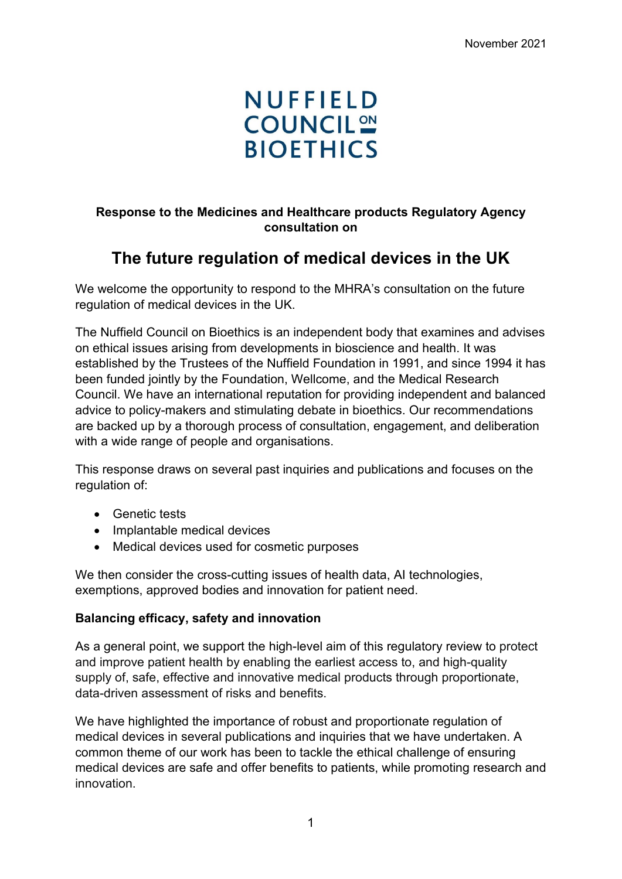# **NUFFIELD COUNCIL ON BIOETHICS**

# **Response to the Medicines and Healthcare products Regulatory Agency consultation on**

# **The future regulation of medical devices in the UK**

We welcome the opportunity to respond to the MHRA's consultation on the future regulation of medical devices in the UK.

The Nuffield Council on Bioethics is an independent body that examines and advises on ethical issues arising from developments in bioscience and health. It was established by the Trustees of the Nuffield Foundation in 1991, and since 1994 it has been funded jointly by the Foundation, Wellcome, and the Medical Research Council. We have an international reputation for providing independent and balanced advice to policy-makers and stimulating debate in bioethics. Our recommendations are backed up by a thorough process of consultation, engagement, and deliberation with a wide range of people and organisations.

This response draws on several past inquiries and publications and focuses on the regulation of:

- Genetic tests
- Implantable medical devices
- Medical devices used for cosmetic purposes

We then consider the cross-cutting issues of health data, AI technologies, exemptions, approved bodies and innovation for patient need.

#### **Balancing efficacy, safety and innovation**

As a general point, we support the high-level aim of this regulatory review to protect and improve patient health by enabling the earliest access to, and high-quality supply of, safe, effective and innovative medical products through proportionate, data-driven assessment of risks and benefits.

We have highlighted the importance of robust and proportionate regulation of medical devices in several publications and inquiries that we have undertaken. A common theme of our work has been to tackle the ethical challenge of ensuring medical devices are safe and offer benefits to patients, while promoting research and innovation.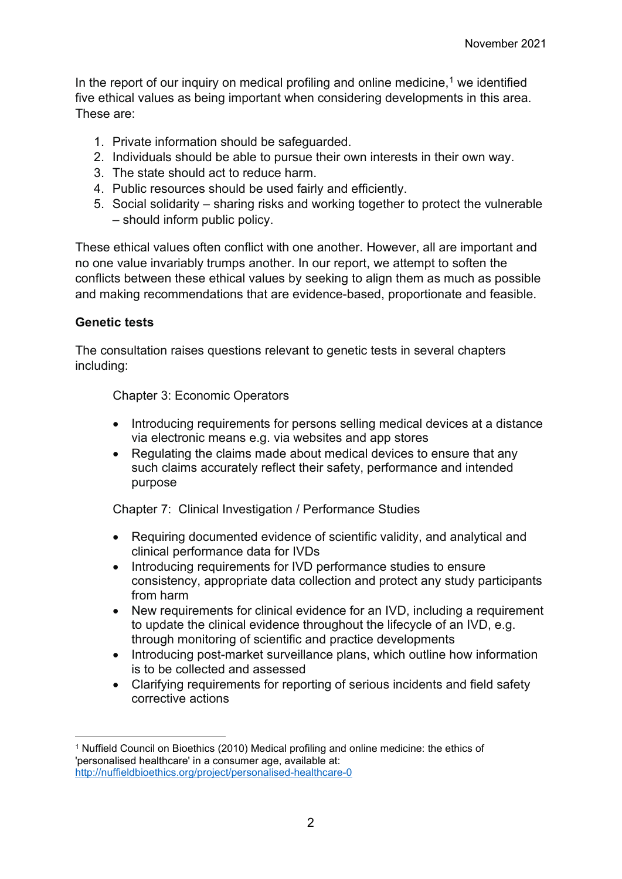In the report of our inquiry on medical profiling and online medicine, [1](#page-1-0) we identified five ethical values as being important when considering developments in this area. These are:

- 1. Private information should be safeguarded.
- 2. Individuals should be able to pursue their own interests in their own way.
- 3. The state should act to reduce harm.
- 4. Public resources should be used fairly and efficiently.
- 5. Social solidarity sharing risks and working together to protect the vulnerable – should inform public policy.

These ethical values often conflict with one another. However, all are important and no one value invariably trumps another. In our report, we attempt to soften the conflicts between these ethical values by seeking to align them as much as possible and making recommendations that are evidence-based, proportionate and feasible.

# **Genetic tests**

The consultation raises questions relevant to genetic tests in several chapters including:

Chapter 3: Economic Operators

- Introducing requirements for persons selling medical devices at a distance via electronic means e.g. via websites and app stores
- Regulating the claims made about medical devices to ensure that any such claims accurately reflect their safety, performance and intended purpose

Chapter 7: Clinical Investigation / Performance Studies

- Requiring documented evidence of scientific validity, and analytical and clinical performance data for IVDs
- Introducing requirements for IVD performance studies to ensure consistency, appropriate data collection and protect any study participants from harm
- New requirements for clinical evidence for an IVD, including a requirement to update the clinical evidence throughout the lifecycle of an IVD, e.g. through monitoring of scientific and practice developments
- Introducing post-market surveillance plans, which outline how information is to be collected and assessed
- Clarifying requirements for reporting of serious incidents and field safety corrective actions

<span id="page-1-0"></span><sup>1</sup> Nuffield Council on Bioethics (2010) Medical profiling and online medicine: the ethics of 'personalised healthcare' in a consumer age, available at: <http://nuffieldbioethics.org/project/personalised-healthcare-0>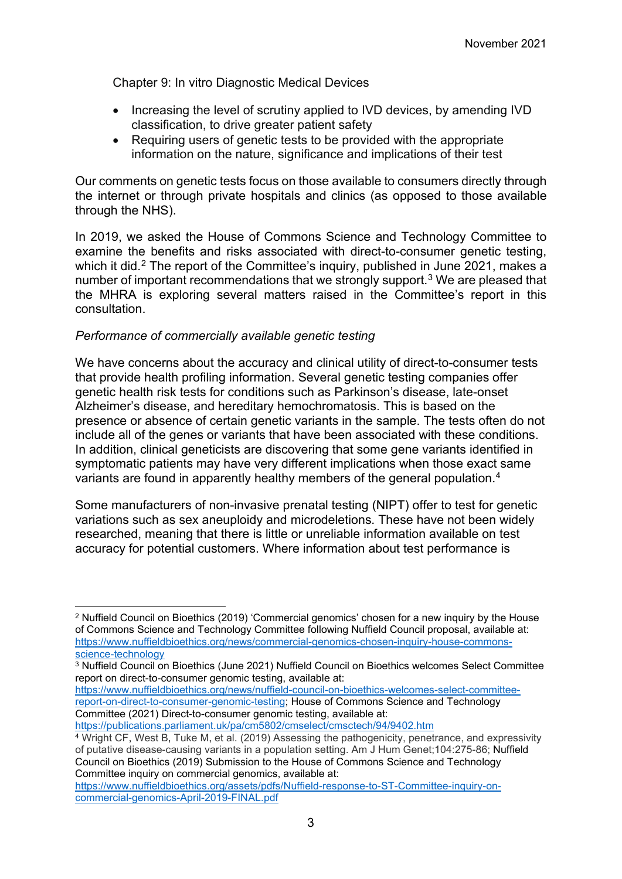Chapter 9: In vitro Diagnostic Medical Devices

- Increasing the level of scrutiny applied to IVD devices, by amending IVD classification, to drive greater patient safety
- Requiring users of genetic tests to be provided with the appropriate information on the nature, significance and implications of their test

Our comments on genetic tests focus on those available to consumers directly through the internet or through private hospitals and clinics (as opposed to those available through the NHS).

In 2019, we asked the House of Commons Science and Technology Committee to examine the benefits and risks associated with direct-to-consumer genetic testing, which it did.<sup>[2](#page-2-0)</sup> The report of the Committee's inquiry, published in June 2021, makes a number of important recommendations that we strongly support. [3](#page-2-1) We are pleased that the MHRA is exploring several matters raised in the Committee's report in this consultation.

#### *Performance of commercially available genetic testing*

We have concerns about the accuracy and clinical utility of direct-to-consumer tests that provide health profiling information. Several genetic testing companies offer genetic health risk tests for conditions such as Parkinson's disease, late-onset Alzheimer's disease, and hereditary hemochromatosis. This is based on the presence or absence of certain genetic variants in the sample. The tests often do not include all of the genes or variants that have been associated with these conditions. In addition, clinical geneticists are discovering that some gene variants identified in symptomatic patients may have very different implications when those exact same variants are found in apparently healthy members of the general population. [4](#page-2-2)

Some manufacturers of non-invasive prenatal testing (NIPT) offer to test for genetic variations such as sex aneuploidy and microdeletions. These have not been widely researched, meaning that there is little or unreliable information available on test accuracy for potential customers. Where information about test performance is

[https://www.nuffieldbioethics.org/news/nuffield-council-on-bioethics-welcomes-select-committee](https://www.nuffieldbioethics.org/news/nuffield-council-on-bioethics-welcomes-select-committee-report-on-direct-to-consumer-genomic-testing)[report-on-direct-to-consumer-genomic-testing;](https://www.nuffieldbioethics.org/news/nuffield-council-on-bioethics-welcomes-select-committee-report-on-direct-to-consumer-genomic-testing) House of Commons Science and Technology Committee (2021) Direct-to-consumer genomic testing, available at:

<https://publications.parliament.uk/pa/cm5802/cmselect/cmsctech/94/9402.htm>

<span id="page-2-0"></span><sup>2</sup> Nuffield Council on Bioethics (2019) 'Commercial genomics' chosen for a new inquiry by the House of Commons Science and Technology Committee following Nuffield Council proposal, available at: [https://www.nuffieldbioethics.org/news/commercial-genomics-chosen-inquiry-house-commons](https://www.nuffieldbioethics.org/news/commercial-genomics-chosen-inquiry-house-commons-science-technology)[science-technology](https://www.nuffieldbioethics.org/news/commercial-genomics-chosen-inquiry-house-commons-science-technology)

<span id="page-2-1"></span><sup>3</sup> Nuffield Council on Bioethics (June 2021) Nuffield Council on Bioethics welcomes Select Committee report on direct-to-consumer genomic testing, available at:

<span id="page-2-2"></span><sup>4</sup> Wright CF, West B, Tuke M, et al. (2019) Assessing the pathogenicity, penetrance, and expressivity of putative disease-causing variants in a population setting. Am J Hum Genet;104:275-86; Nuffield Council on Bioethics (2019) Submission to the House of Commons Science and Technology Committee inquiry on commercial genomics, available at:

[https://www.nuffieldbioethics.org/assets/pdfs/Nuffield-response-to-ST-Committee-inquiry-on](https://www.nuffieldbioethics.org/assets/pdfs/Nuffield-response-to-ST-Committee-inquiry-on-commercial-genomics-April-2019-FINAL.pdf)[commercial-genomics-April-2019-FINAL.pdf](https://www.nuffieldbioethics.org/assets/pdfs/Nuffield-response-to-ST-Committee-inquiry-on-commercial-genomics-April-2019-FINAL.pdf)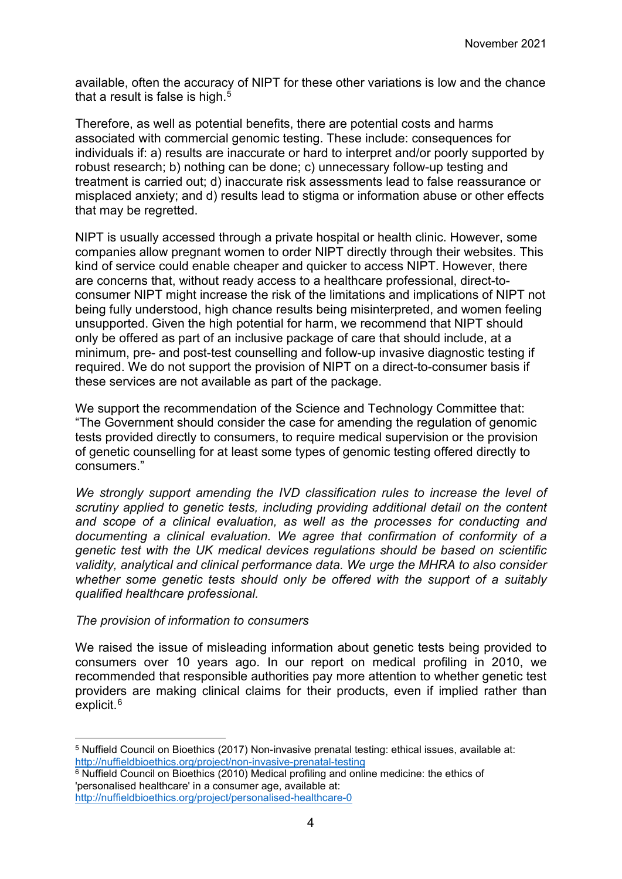available, often the accuracy of NIPT for these other variations is low and the chance that a result is false is high. $5$ 

Therefore, as well as potential benefits, there are potential costs and harms associated with commercial genomic testing. These include: consequences for individuals if: a) results are inaccurate or hard to interpret and/or poorly supported by robust research; b) nothing can be done; c) unnecessary follow-up testing and treatment is carried out; d) inaccurate risk assessments lead to false reassurance or misplaced anxiety; and d) results lead to stigma or information abuse or other effects that may be regretted.

NIPT is usually accessed through a private hospital or health clinic. However, some companies allow pregnant women to order NIPT directly through their websites. This kind of service could enable cheaper and quicker to access NIPT. However, there are concerns that, without ready access to a healthcare professional, direct-toconsumer NIPT might increase the risk of the limitations and implications of NIPT not being fully understood, high chance results being misinterpreted, and women feeling unsupported. Given the high potential for harm, we recommend that NIPT should only be offered as part of an inclusive package of care that should include, at a minimum, pre- and post-test counselling and follow-up invasive diagnostic testing if required. We do not support the provision of NIPT on a direct-to-consumer basis if these services are not available as part of the package.

We support the recommendation of the Science and Technology Committee that: "The Government should consider the case for amending the regulation of genomic tests provided directly to consumers, to require medical supervision or the provision of genetic counselling for at least some types of genomic testing offered directly to consumers."

*We strongly support amending the IVD classification rules to increase the level of scrutiny applied to genetic tests, including providing additional detail on the content and scope of a clinical evaluation, as well as the processes for conducting and documenting a clinical evaluation. We agree that confirmation of conformity of a genetic test with the UK medical devices regulations should be based on scientific validity, analytical and clinical performance data. We urge the MHRA to also consider whether some genetic tests should only be offered with the support of a suitably qualified healthcare professional.*

#### *The provision of information to consumers*

We raised the issue of misleading information about genetic tests being provided to consumers over 10 years ago. In our report on medical profiling in 2010, we recommended that responsible authorities pay more attention to whether genetic test providers are making clinical claims for their products, even if implied rather than explicit.<sup>[6](#page-3-1)</sup>

<span id="page-3-0"></span><sup>5</sup> Nuffield Council on Bioethics (2017) Non-invasive prenatal testing: ethical issues, available at: <http://nuffieldbioethics.org/project/non-invasive-prenatal-testing>

<span id="page-3-1"></span><sup>6</sup> Nuffield Council on Bioethics (2010) Medical profiling and online medicine: the ethics of 'personalised healthcare' in a consumer age, available at: <http://nuffieldbioethics.org/project/personalised-healthcare-0>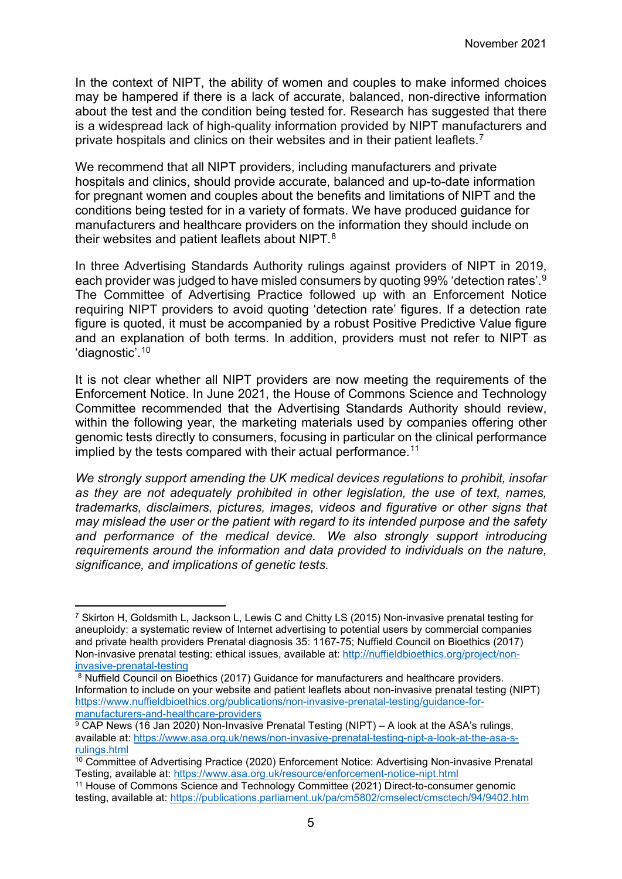In the context of NIPT, the ability of women and couples to make informed choices may be hampered if there is a lack of accurate, balanced, non-directive information about the test and the condition being tested for. Research has suggested that there is a widespread lack of high-quality information provided by NIPT manufacturers and private hospitals and clinics on their websites and in their patient leaflets.[7](#page-4-0)

We recommend that all NIPT providers, including manufacturers and private hospitals and clinics, should provide accurate, balanced and up-to-date information for pregnant women and couples about the benefits and limitations of NIPT and the conditions being tested for in a variety of formats. We have produced guidance for manufacturers and healthcare providers on the information they should include on their websites and patient leaflets about NIPT.<sup>[8](#page-4-1)</sup>

In three Advertising Standards Authority rulings against providers of NIPT in 2019, each provider was judged to have misled consumers by quoting 99% 'detection rates'.[9](#page-4-2) The Committee of Advertising Practice followed up with an Enforcement Notice requiring NIPT providers to avoid quoting 'detection rate' figures. If a detection rate figure is quoted, it must be accompanied by a robust Positive Predictive Value figure and an explanation of both terms. In addition, providers must not refer to NIPT as 'diagnostic'.[10](#page-4-3)

It is not clear whether all NIPT providers are now meeting the requirements of the Enforcement Notice. In June 2021, the House of Commons Science and Technology Committee recommended that the Advertising Standards Authority should review, within the following year, the marketing materials used by companies offering other genomic tests directly to consumers, focusing in particular on the clinical performance implied by the tests compared with their actual performance.<sup>[11](#page-4-4)</sup>

*We strongly support amending the UK medical devices regulations to prohibit, insofar as they are not adequately prohibited in other legislation, the use of text, names, trademarks, disclaimers, pictures, images, videos and figurative or other signs that may mislead the user or the patient with regard to its intended purpose and the safety and performance of the medical device. We also strongly support introducing requirements around the information and data provided to individuals on the nature, significance, and implications of genetic tests.*

<span id="page-4-0"></span> $7$  Skirton H, Goldsmith L, Jackson L, Lewis C and Chitty LS (2015) Non-invasive prenatal testing for aneuploidy: a systematic review of Internet advertising to potential users by commercial companies and private health providers Prenatal diagnosis 35: 1167-75; Nuffield Council on Bioethics (2017) Non-invasive prenatal testing: ethical issues, available at: [http://nuffieldbioethics.org/project/non](http://nuffieldbioethics.org/project/non-invasive-prenatal-testing)[invasive-prenatal-testing](http://nuffieldbioethics.org/project/non-invasive-prenatal-testing)

<span id="page-4-1"></span><sup>8</sup> Nuffield Council on Bioethics (2017) Guidance for manufacturers and healthcare providers. Information to include on your website and patient leaflets about non-invasive prenatal testing (NIPT) [https://www.nuffieldbioethics.org/publications/non-invasive-prenatal-testing/guidance-for](https://www.nuffieldbioethics.org/publications/non-invasive-prenatal-testing/guidance-for-manufacturers-and-healthcare-providers)[manufacturers-and-healthcare-providers](https://www.nuffieldbioethics.org/publications/non-invasive-prenatal-testing/guidance-for-manufacturers-and-healthcare-providers)

<span id="page-4-2"></span> $\frac{9}{9}$  CAP News (16 Jan 2020) Non-Invasive Prenatal Testing (NIPT) – A look at the ASA's rulings, available at: [https://www.asa.org.uk/news/non-invasive-prenatal-testing-nipt-a-look-at-the-asa-s](https://www.asa.org.uk/news/non-invasive-prenatal-testing-nipt-a-look-at-the-asa-s-rulings.html)[rulings.html](https://www.asa.org.uk/news/non-invasive-prenatal-testing-nipt-a-look-at-the-asa-s-rulings.html)

<span id="page-4-3"></span><sup>10</sup> Committee of Advertising Practice (2020) Enforcement Notice: Advertising Non-invasive Prenatal Testing, available at:<https://www.asa.org.uk/resource/enforcement-notice-nipt.html>

<span id="page-4-4"></span><sup>11</sup> House of Commons Science and Technology Committee (2021) Direct-to-consumer genomic testing, available at:<https://publications.parliament.uk/pa/cm5802/cmselect/cmsctech/94/9402.htm>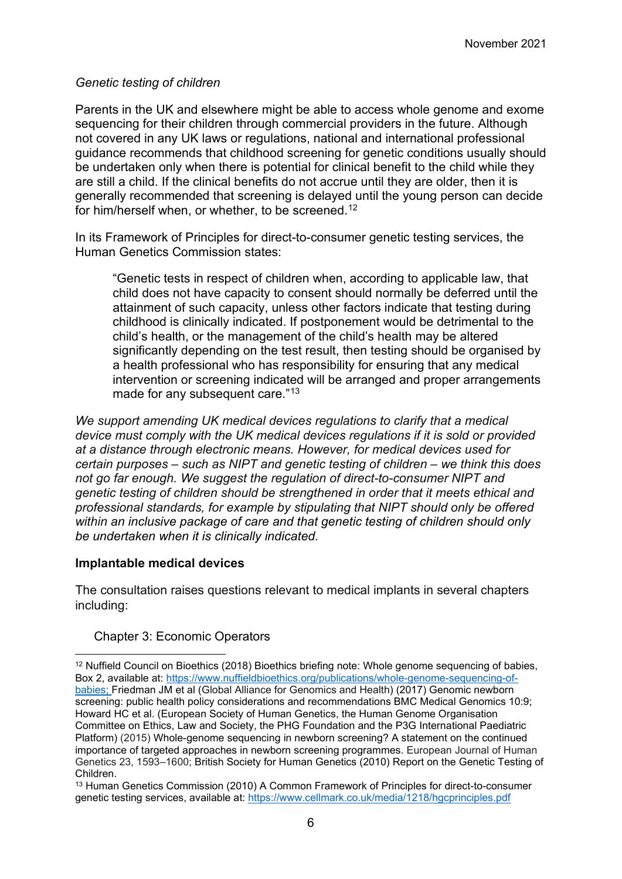#### *Genetic testing of children*

Parents in the UK and elsewhere might be able to access whole genome and exome sequencing for their children through commercial providers in the future. Although not covered in any UK laws or regulations, national and international professional guidance recommends that childhood screening for genetic conditions usually should be undertaken only when there is potential for clinical benefit to the child while they are still a child. If the clinical benefits do not accrue until they are older, then it is generally recommended that screening is delayed until the young person can decide for him/herself when, or whether, to be screened.<sup>[12](#page-5-0)</sup>

In its Framework of Principles for direct-to-consumer genetic testing services, the Human Genetics Commission states:

"Genetic tests in respect of children when, according to applicable law, that child does not have capacity to consent should normally be deferred until the attainment of such capacity, unless other factors indicate that testing during childhood is clinically indicated. If postponement would be detrimental to the child's health, or the management of the child's health may be altered significantly depending on the test result, then testing should be organised by a health professional who has responsibility for ensuring that any medical intervention or screening indicated will be arranged and proper arrangements made for any subsequent care."[13](#page-5-1)

*We support amending UK medical devices regulations to clarify that a medical device must comply with the UK medical devices regulations if it is sold or provided at a distance through electronic means. However, for medical devices used for certain purposes – such as NIPT and genetic testing of children – we think this does not go far enough. We suggest the regulation of direct-to-consumer NIPT and genetic testing of children should be strengthened in order that it meets ethical and professional standards, for example by stipulating that NIPT should only be offered within an inclusive package of care and that genetic testing of children should only be undertaken when it is clinically indicated.*

#### **Implantable medical devices**

The consultation raises questions relevant to medical implants in several chapters including:

#### Chapter 3: Economic Operators

<span id="page-5-0"></span><sup>12</sup> Nuffield Council on Bioethics (2018) Bioethics briefing note: Whole genome sequencing of babies, Box 2, available at: [https://www.nuffieldbioethics.org/publications/whole-genome-sequencing-of](https://www.nuffieldbioethics.org/publications/whole-genome-sequencing-of-babies)[babies;](https://www.nuffieldbioethics.org/publications/whole-genome-sequencing-of-babies) Friedman JM et al (Global Alliance for Genomics and Health) (2017) Genomic newborn screening: public health policy considerations and recommendations BMC Medical Genomics 10:9; Howard HC et al. (European Society of Human Genetics, the Human Genome Organisation Committee on Ethics, Law and Society, the PHG Foundation and the P3G International Paediatric Platform) (2015) Whole-genome sequencing in newborn screening? A statement on the continued importance of targeted approaches in newborn screening programmes. European Journal of Human Genetics 23, 1593–1600; British Society for Human Genetics (2010) Report on the Genetic Testing of Children.

<span id="page-5-1"></span><sup>13</sup> Human Genetics Commission (2010) A Common Framework of Principles for direct-to-consumer genetic testing services, available at:<https://www.cellmark.co.uk/media/1218/hgcprinciples.pdf>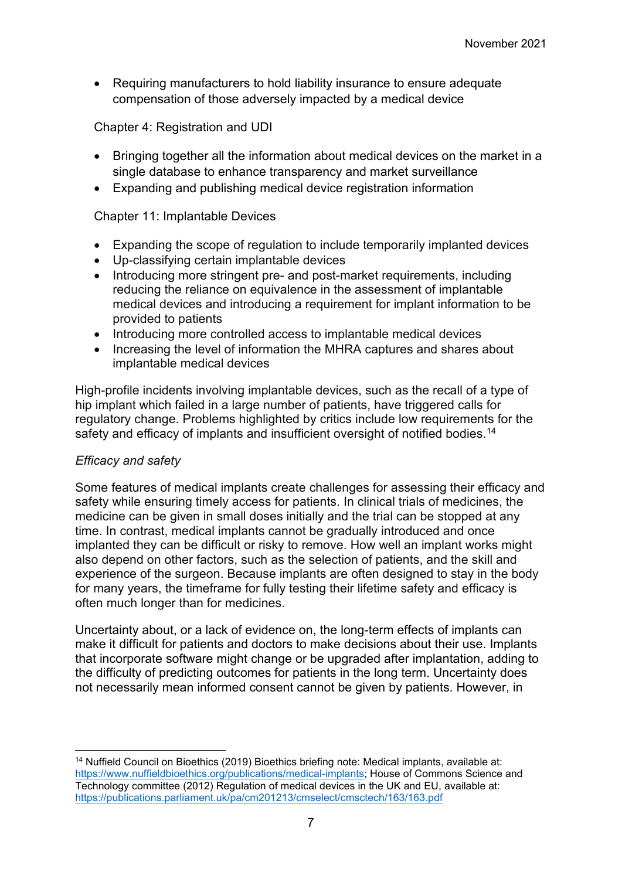• Requiring manufacturers to hold liability insurance to ensure adequate compensation of those adversely impacted by a medical device

Chapter 4: Registration and UDI

- Bringing together all the information about medical devices on the market in a single database to enhance transparency and market surveillance
- Expanding and publishing medical device registration information

#### Chapter 11: Implantable Devices

- Expanding the scope of regulation to include temporarily implanted devices
- Up-classifying certain implantable devices
- Introducing more stringent pre- and post-market requirements, including reducing the reliance on equivalence in the assessment of implantable medical devices and introducing a requirement for implant information to be provided to patients
- Introducing more controlled access to implantable medical devices
- Increasing the level of information the MHRA captures and shares about implantable medical devices

High-profile incidents involving implantable devices, such as the recall of a type of hip implant which failed in a large number of patients, have triggered calls for regulatory change. Problems highlighted by critics include low requirements for the safety and efficacy of implants and insufficient oversight of notified bodies.<sup>[14](#page-6-0)</sup>

#### *Efficacy and safety*

Some features of medical implants create challenges for assessing their efficacy and safety while ensuring timely access for patients. In clinical trials of medicines, the medicine can be given in small doses initially and the trial can be stopped at any time. In contrast, medical implants cannot be gradually introduced and once implanted they can be difficult or risky to remove. How well an implant works might also depend on other factors, such as the selection of patients, and the skill and experience of the surgeon. Because implants are often designed to stay in the body for many years, the timeframe for fully testing their lifetime safety and efficacy is often much longer than for medicines.

Uncertainty about, or a lack of evidence on, the long-term effects of implants can make it difficult for patients and doctors to make decisions about their use. Implants that incorporate software might change or be upgraded after implantation, adding to the difficulty of predicting outcomes for patients in the long term. Uncertainty does not necessarily mean informed consent cannot be given by patients. However, in

<span id="page-6-0"></span><sup>14</sup> Nuffield Council on Bioethics (2019) Bioethics briefing note: Medical implants, available at: [https://www.nuffieldbioethics.org/publications/medical-implants;](https://www.nuffieldbioethics.org/publications/medical-implants) House of Commons Science and Technology committee (2012) Regulation of medical devices in the UK and EU, available at: <https://publications.parliament.uk/pa/cm201213/cmselect/cmsctech/163/163.pdf>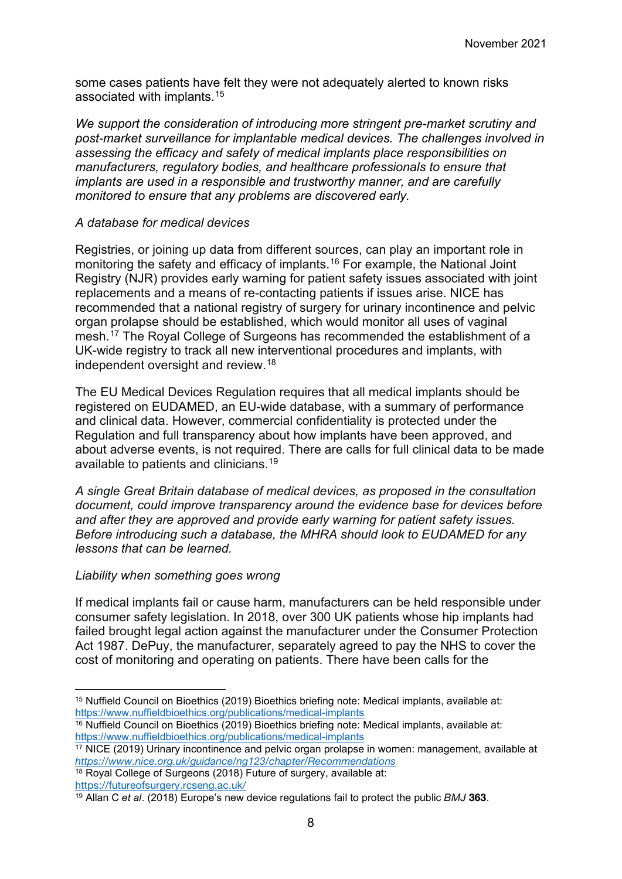some cases patients have felt they were not adequately alerted to known risks associated with implants.[15](#page-7-0)

*We support the consideration of introducing more stringent pre-market scrutiny and post-market surveillance for implantable medical devices. The challenges involved in assessing the efficacy and safety of medical implants place responsibilities on manufacturers, regulatory bodies, and healthcare professionals to ensure that implants are used in a responsible and trustworthy manner, and are carefully monitored to ensure that any problems are discovered early.*

#### *A database for medical devices*

Registries, or joining up data from different sources, can play an important role in monitoring the safety and efficacy of implants.<sup>[16](#page-7-1)</sup> For example, the National Joint Registry (NJR) provides early warning for patient safety issues associated with joint replacements and a means of re-contacting patients if issues arise. NICE has recommended that a national registry of surgery for urinary incontinence and pelvic organ prolapse should be established, which would monitor all uses of vaginal mesh.[17](#page-7-2) The Royal College of Surgeons has recommended the establishment of a UK-wide registry to track all new interventional procedures and implants, with independent oversight and review. [18](#page-7-3)

The EU Medical Devices Regulation requires that all medical implants should be registered on EUDAMED, an EU-wide database, with a summary of performance and clinical data. However, commercial confidentiality is protected under the Regulation and full transparency about how implants have been approved, and about adverse events, is not required. There are calls for full clinical data to be made available to patients and clinicians.[19](#page-7-4)

*A single Great Britain database of medical devices, as proposed in the consultation document, could improve transparency around the evidence base for devices before and after they are approved and provide early warning for patient safety issues. Before introducing such a database, the MHRA should look to EUDAMED for any lessons that can be learned.*

#### *Liability when something goes wrong*

If medical implants fail or cause harm, manufacturers can be held responsible under consumer safety legislation. In 2018, over 300 UK patients whose hip implants had failed brought legal action against the manufacturer under the Consumer Protection Act 1987. DePuy, the manufacturer, separately agreed to pay the NHS to cover the cost of monitoring and operating on patients. There have been calls for the

<span id="page-7-0"></span><sup>15</sup> Nuffield Council on Bioethics (2019) Bioethics briefing note: Medical implants, available at: <https://www.nuffieldbioethics.org/publications/medical-implants>

<span id="page-7-1"></span> $16$  Nuffield Council on Bioethics (2019) Bioethics briefing note: Medical implants, available at: <https://www.nuffieldbioethics.org/publications/medical-implants>

<span id="page-7-2"></span><sup>17</sup> NICE (2019) Urinary incontinence and pelvic organ prolapse in women: management, available at <https://www.nice.org.uk/guidance/ng123/chapter/Recommendations>

<span id="page-7-3"></span><sup>&</sup>lt;sup>18</sup> Royal College of Surgeons (2018) Future of surgery, available at: <https://futureofsurgery.rcseng.ac.uk/>

<span id="page-7-4"></span><sup>&</sup>lt;sup>19</sup> Allan C et al. (2018) Europe's new device regulations fail to protect the public  $BMJ$  363.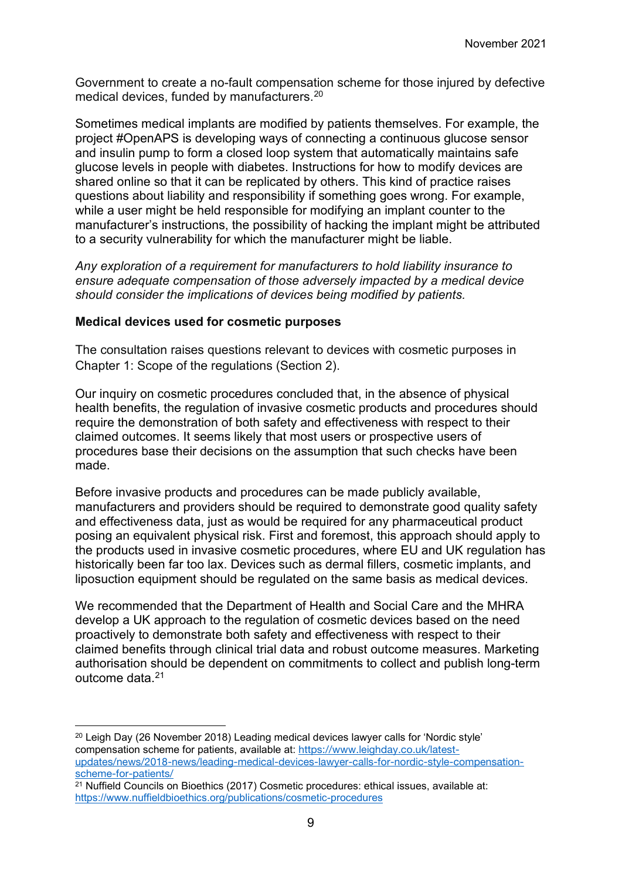Government to create a no-fault compensation scheme for those injured by defective medical devices, funded by manufacturers.[20](#page-8-0)

Sometimes medical implants are modified by patients themselves. For example, the project #OpenAPS is developing ways of connecting a continuous glucose sensor and insulin pump to form a closed loop system that automatically maintains safe glucose levels in people with diabetes. Instructions for how to modify devices are shared online so that it can be replicated by others. This kind of practice raises questions about liability and responsibility if something goes wrong. For example, while a user might be held responsible for modifying an implant counter to the manufacturer's instructions, the possibility of hacking the implant might be attributed to a security vulnerability for which the manufacturer might be liable.

*Any exploration of a requirement for manufacturers to hold liability insurance to ensure adequate compensation of those adversely impacted by a medical device should consider the implications of devices being modified by patients.*

#### **Medical devices used for cosmetic purposes**

The consultation raises questions relevant to devices with cosmetic purposes in Chapter 1: Scope of the regulations (Section 2).

Our inquiry on cosmetic procedures concluded that, in the absence of physical health benefits, the regulation of invasive cosmetic products and procedures should require the demonstration of both safety and effectiveness with respect to their claimed outcomes. It seems likely that most users or prospective users of procedures base their decisions on the assumption that such checks have been made.

Before invasive products and procedures can be made publicly available, manufacturers and providers should be required to demonstrate good quality safety and effectiveness data, just as would be required for any pharmaceutical product posing an equivalent physical risk. First and foremost, this approach should apply to the products used in invasive cosmetic procedures, where EU and UK regulation has historically been far too lax. Devices such as dermal fillers, cosmetic implants, and liposuction equipment should be regulated on the same basis as medical devices.

We recommended that the Department of Health and Social Care and the MHRA develop a UK approach to the regulation of cosmetic devices based on the need proactively to demonstrate both safety and effectiveness with respect to their claimed benefits through clinical trial data and robust outcome measures. Marketing authorisation should be dependent on commitments to collect and publish long-term outcome data.[21](#page-8-1)

<span id="page-8-0"></span><sup>20</sup> Leigh Day (26 November 2018) Leading medical devices lawyer calls for 'Nordic style' compensation scheme for patients, available at: [https://www.leighday.co.uk/latest](https://www.leighday.co.uk/latest-updates/news/2018-news/leading-medical-devices-lawyer-calls-for-nordic-style-compensation-scheme-for-patients/)[updates/news/2018-news/leading-medical-devices-lawyer-calls-for-nordic-style-compensation](https://www.leighday.co.uk/latest-updates/news/2018-news/leading-medical-devices-lawyer-calls-for-nordic-style-compensation-scheme-for-patients/)[scheme-for-patients/](https://www.leighday.co.uk/latest-updates/news/2018-news/leading-medical-devices-lawyer-calls-for-nordic-style-compensation-scheme-for-patients/)

<span id="page-8-1"></span><sup>21</sup> Nuffield Councils on Bioethics (2017) Cosmetic procedures: ethical issues, available at: <https://www.nuffieldbioethics.org/publications/cosmetic-procedures>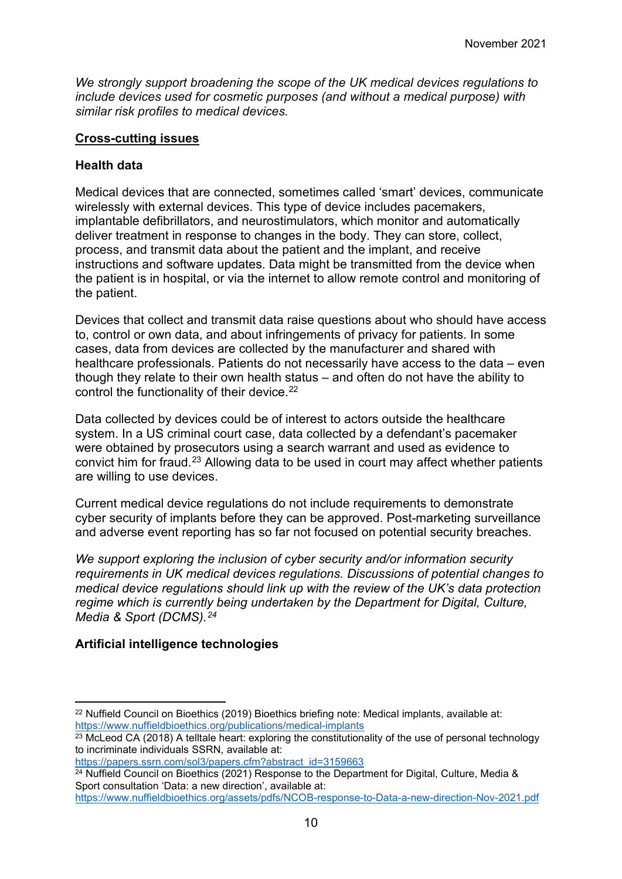*We strongly support broadening the scope of the UK medical devices regulations to include devices used for cosmetic purposes (and without a medical purpose) with similar risk profiles to medical devices.*

#### **Cross-cutting issues**

#### **Health data**

Medical devices that are connected, sometimes called 'smart' devices, communicate wirelessly with external devices. This type of device includes pacemakers, implantable defibrillators, and neurostimulators, which monitor and automatically deliver treatment in response to changes in the body. They can store, collect, process, and transmit data about the patient and the implant, and receive instructions and software updates. Data might be transmitted from the device when the patient is in hospital, or via the internet to allow remote control and monitoring of the patient.

Devices that collect and transmit data raise questions about who should have access to, control or own data, and about infringements of privacy for patients. In some cases, data from devices are collected by the manufacturer and shared with healthcare professionals. Patients do not necessarily have access to the data – even though they relate to their own health status – and often do not have the ability to control the functionality of their device. [22](#page-9-0)

Data collected by devices could be of interest to actors outside the healthcare system. In a US criminal court case, data collected by a defendant's pacemaker were obtained by prosecutors using a search warrant and used as evidence to convict him for fraud.<sup>[23](#page-9-1)</sup> Allowing data to be used in court may affect whether patients are willing to use devices.

Current medical device regulations do not include requirements to demonstrate cyber security of implants before they can be approved. Post-marketing surveillance and adverse event reporting has so far not focused on potential security breaches.

*We support exploring the inclusion of cyber security and/or information security requirements in UK medical devices regulations. Discussions of potential changes to medical device regulations should link up with the review of the UK's data protection regime which is currently being undertaken by the Department for Digital, Culture, Media & Sport (DCMS).[24](#page-9-2)*

#### **Artificial intelligence technologies**

```
https://papers.ssrn.com/sol3/papers.cfm?abstract_id=3159663
```

```
<sup>24</sup> Nuffield Council on Bioethics (2021) Response to the Department for Digital, Culture, Media &
Sport consultation 'Data: a new direction', available at:
```

```
https://www.nuffieldbioethics.org/assets/pdfs/NCOB-response-to-Data-a-new-direction-Nov-2021.pdf
```
<span id="page-9-0"></span><sup>22</sup> Nuffield Council on Bioethics (2019) Bioethics briefing note: Medical implants, available at: <https://www.nuffieldbioethics.org/publications/medical-implants>

<span id="page-9-1"></span> $23$  McLeod CA (2018) A telltale heart: exploring the constitutionality of the use of personal technology to incriminate individuals SSRN, available at: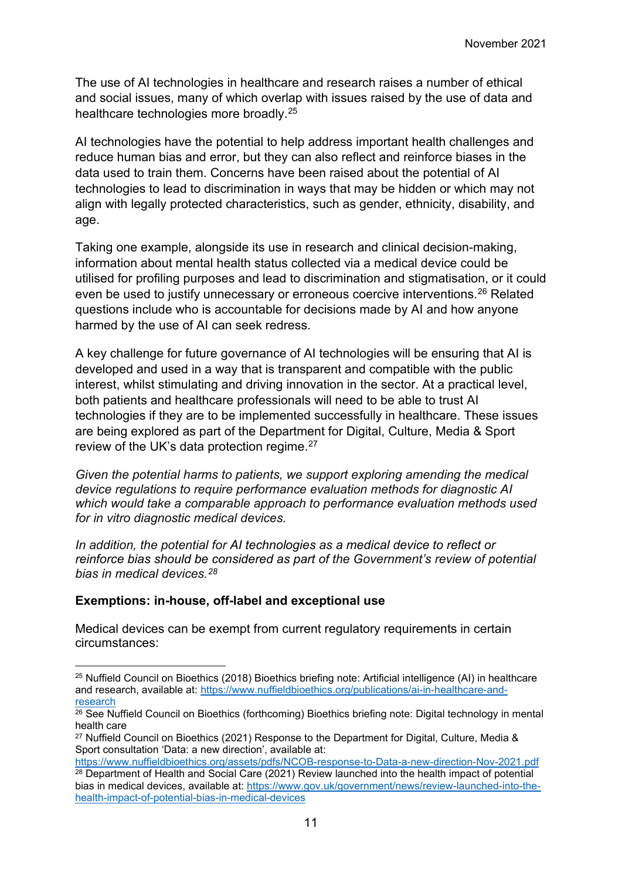The use of AI technologies in healthcare and research raises a number of ethical and social issues, many of which overlap with issues raised by the use of data and healthcare technologies more broadly.[25](#page-10-0)

AI technologies have the potential to help address important health challenges and reduce human bias and error, but they can also reflect and reinforce biases in the data used to train them. Concerns have been raised about the potential of AI technologies to lead to discrimination in ways that may be hidden or which may not align with legally protected characteristics, such as gender, ethnicity, disability, and age.

Taking one example, alongside its use in research and clinical decision-making, information about mental health status collected via a medical device could be utilised for profiling purposes and lead to discrimination and stigmatisation, or it could even be used to justify unnecessary or erroneous coercive interventions.<sup>26</sup> Related questions include who is accountable for decisions made by AI and how anyone harmed by the use of AI can seek redress.

A key challenge for future governance of AI technologies will be ensuring that AI is developed and used in a way that is transparent and compatible with the public interest, whilst stimulating and driving innovation in the sector. At a practical level, both patients and healthcare professionals will need to be able to trust AI technologies if they are to be implemented successfully in healthcare. These issues are being explored as part of the Department for Digital, Culture, Media & Sport review of the UK's data protection regime.[27](#page-10-2)

*Given the potential harms to patients, we support exploring amending the medical device regulations to require performance evaluation methods for diagnostic AI which would take a comparable approach to performance evaluation methods used for in vitro diagnostic medical devices.*

*In addition, the potential for AI technologies as a medical device to reflect or reinforce bias should be considered as part of the Government's review of potential bias in medical devices.[28](#page-10-3)*

#### **Exemptions: in-house, off-label and exceptional use**

Medical devices can be exempt from current regulatory requirements in certain circumstances:

<span id="page-10-0"></span><sup>&</sup>lt;sup>25</sup> Nuffield Council on Bioethics (2018) Bioethics briefing note: Artificial intelligence (AI) in healthcare and research, available at: [https://www.nuffieldbioethics.org/publications/ai-in-healthcare-and](https://www.nuffieldbioethics.org/publications/ai-in-healthcare-and-research)[research](https://www.nuffieldbioethics.org/publications/ai-in-healthcare-and-research)

<span id="page-10-1"></span><sup>&</sup>lt;sup>26</sup> See Nuffield Council on Bioethics (forthcoming) Bioethics briefing note: Digital technology in mental health care

<span id="page-10-2"></span><sup>&</sup>lt;sup>27</sup> Nuffield Council on Bioethics (2021) Response to the Department for Digital, Culture, Media & Sport consultation 'Data: a new direction', available at:

<span id="page-10-3"></span><https://www.nuffieldbioethics.org/assets/pdfs/NCOB-response-to-Data-a-new-direction-Nov-2021.pdf> <sup>28</sup> Department of Health and Social Care (2021) Review launched into the health impact of potential bias in medical devices, available at: [https://www.gov.uk/government/news/review-launched-into-the](https://www.gov.uk/government/news/review-launched-into-the-health-impact-of-potential-bias-in-medical-devices)[health-impact-of-potential-bias-in-medical-devices](https://www.gov.uk/government/news/review-launched-into-the-health-impact-of-potential-bias-in-medical-devices)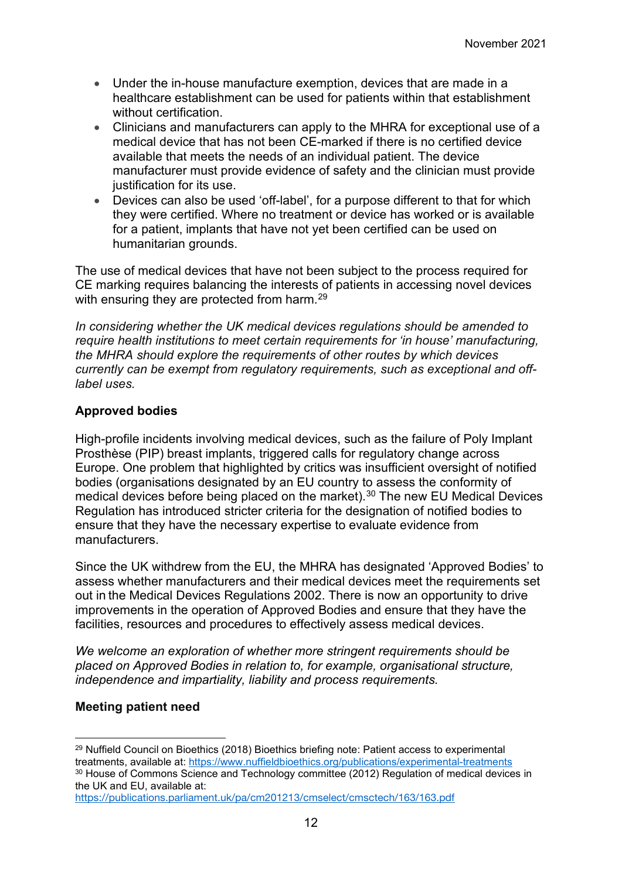- Under the in-house manufacture exemption, devices that are made in a healthcare establishment can be used for patients within that establishment without certification.
- Clinicians and manufacturers can apply to the MHRA for exceptional use of a medical device that has not been CE-marked if there is no certified device available that meets the needs of an individual patient. The device manufacturer must provide evidence of safety and the clinician must provide justification for its use.
- Devices can also be used 'off-label', for a purpose different to that for which they were certified. Where no treatment or device has worked or is available for a patient, implants that have not yet been certified can be used on humanitarian grounds.

The use of medical devices that have not been subject to the process required for CE marking requires balancing the interests of patients in accessing novel devices with ensuring they are protected from harm. [29](#page-11-0)

*In considering whether the UK medical devices regulations should be amended to require health institutions to meet certain requirements for 'in house' manufacturing, the MHRA should explore the requirements of other routes by which devices currently can be exempt from regulatory requirements, such as exceptional and offlabel uses.*

### **Approved bodies**

High-profile incidents involving medical devices, such as the failure of Poly Implant Prosthèse (PIP) breast implants, triggered calls for regulatory change across Europe. One problem that highlighted by critics was insufficient oversight of notified bodies (organisations designated by an EU country to assess the conformity of medical devices before being placed on the market). [30](#page-11-1) The new EU Medical Devices Regulation has introduced stricter criteria for the designation of notified bodies to ensure that they have the necessary expertise to evaluate evidence from manufacturers.

Since the UK withdrew from the EU, the MHRA has designated 'Approved Bodies' to assess whether manufacturers and their medical devices meet the requirements set out in the Medical Devices Regulations 2002. There is now an opportunity to drive improvements in the operation of Approved Bodies and ensure that they have the facilities, resources and procedures to effectively assess medical devices.

*We welcome an exploration of whether more stringent requirements should be placed on Approved Bodies in relation to, for example, organisational structure, independence and impartiality, liability and process requirements.* 

#### **Meeting patient need**

<span id="page-11-0"></span><sup>&</sup>lt;sup>29</sup> Nuffield Council on Bioethics (2018) Bioethics briefing note: Patient access to experimental treatments, available at:<https://www.nuffieldbioethics.org/publications/experimental-treatments> <sup>30</sup> House of Commons Science and Technology committee (2012) Regulation of medical devices in the UK and EU, available at:

<span id="page-11-1"></span><https://publications.parliament.uk/pa/cm201213/cmselect/cmsctech/163/163.pdf>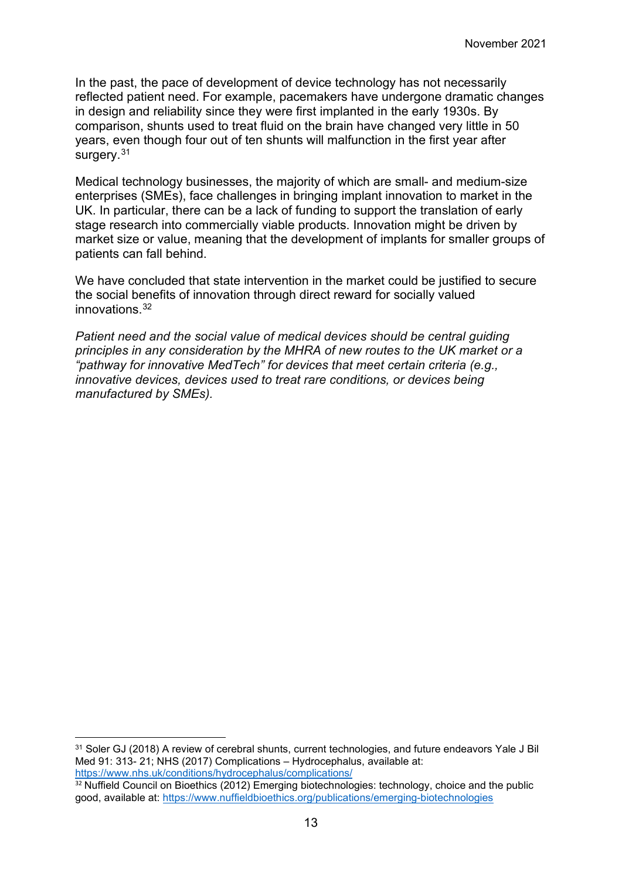In the past, the pace of development of device technology has not necessarily reflected patient need. For example, pacemakers have undergone dramatic changes in design and reliability since they were first implanted in the early 1930s. By comparison, shunts used to treat fluid on the brain have changed very little in 50 years, even though four out of ten shunts will malfunction in the first year after surgery.<sup>[31](#page-12-0)</sup>

Medical technology businesses, the majority of which are small- and medium-size enterprises (SMEs), face challenges in bringing implant innovation to market in the UK. In particular, there can be a lack of funding to support the translation of early stage research into commercially viable products. Innovation might be driven by market size or value, meaning that the development of implants for smaller groups of patients can fall behind.

We have concluded that state intervention in the market could be justified to secure the social benefits of innovation through direct reward for socially valued innovations $32$ 

*Patient need and the social value of medical devices should be central guiding principles in any consideration by the MHRA of new routes to the UK market or a "pathway for innovative MedTech" for devices that meet certain criteria (e.g., innovative devices, devices used to treat rare conditions, or devices being manufactured by SMEs).*

<span id="page-12-0"></span><sup>31</sup> Soler GJ (2018) A review of cerebral shunts, current technologies, and future endeavors Yale J Bil Med 91: 313- 21; NHS (2017) Complications – Hydrocephalus, available at: <https://www.nhs.uk/conditions/hydrocephalus/complications/>

<span id="page-12-1"></span> $32$  Nuffield Council on Bioethics (2012) Emerging biotechnologies: technology, choice and the public good, available at:<https://www.nuffieldbioethics.org/publications/emerging-biotechnologies>